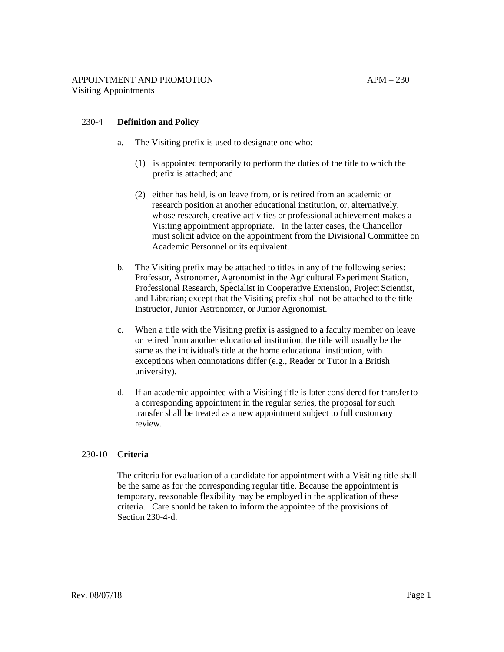### 230-4 **Definition and Policy**

- a. The Visiting prefix is used to designate one who:
	- (1) is appointed temporarily to perform the duties of the title to which the prefix is attached; and
	- (2) either has held, is on leave from, or is retired from an academic or research position at another educational institution, or, alternatively, whose research, creative activities or professional achievement makes a Visiting appointment appropriate. In the latter cases, the Chancellor must solicit advice on the appointment from the Divisional Committee on Academic Personnel or its equivalent.
- b. The Visiting prefix may be attached to titles in any of the following series: Professor, Astronomer, Agronomist in the Agricultural Experiment Station, Professional Research, Specialist in Cooperative Extension, Project Scientist, and Librarian; except that the Visiting prefix shall not be attached to the title Instructor, Junior Astronomer, or Junior Agronomist.
- c. When a title with the Visiting prefix is assigned to a faculty member on leave or retired from another educational institution, the title will usually be the same as the individual's title at the home educational institution, with exceptions when connotations differ (e.g., Reader or Tutor in a British university).
- d. If an academic appointee with a Visiting title is later considered for transfer to a corresponding appointment in the regular series, the proposal for such transfer shall be treated as a new appointment subject to full customary review.

## 230-10 **Criteria**

The criteria for evaluation of a candidate for appointment with a Visiting title shall be the same as for the corresponding regular title. Because the appointment is temporary, reasonable flexibility may be employed in the application of these criteria. Care should be taken to inform the appointee of the provisions of Section 230-4-d.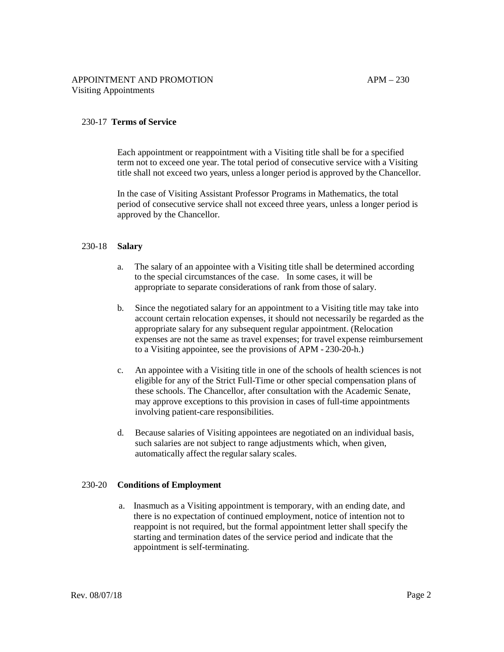#### 230-17 **Terms of Service**

Each appointment or reappointment with a Visiting title shall be for a specified term not to exceed one year. The total period of consecutive service with a Visiting title shall not exceed two years, unless a longer period is approved by the Chancellor.

In the case of Visiting Assistant Professor Programs in Mathematics, the total period of consecutive service shall not exceed three years, unless a longer period is approved by the Chancellor.

#### 230-18 **Salary**

- a. The salary of an appointee with a Visiting title shall be determined according to the special circumstances of the case. In some cases, it will be appropriate to separate considerations of rank from those of salary.
- b. Since the negotiated salary for an appointment to a Visiting title may take into account certain relocation expenses, it should not necessarily be regarded as the appropriate salary for any subsequent regular appointment. (Relocation expenses are not the same as travel expenses; for travel expense reimbursement to a Visiting appointee, see the provisions of APM - 230-20-h.)
- c. An appointee with a Visiting title in one of the schools of health sciences is not eligible for any of the Strict Full-Time or other special compensation plans of these schools. The Chancellor, after consultation with the Academic Senate, may approve exceptions to this provision in cases of full-time appointments involving patient-care responsibilities.
- d. Because salaries of Visiting appointees are negotiated on an individual basis, such salaries are not subject to range adjustments which, when given, automatically affect the regular salary scales.

#### 230-20 **Conditions of Employment**

a. Inasmuch as a Visiting appointment is temporary, with an ending date, and there is no expectation of continued employment, notice of intention not to reappoint is not required, but the formal appointment letter shall specify the starting and termination dates of the service period and indicate that the appointment is self-terminating.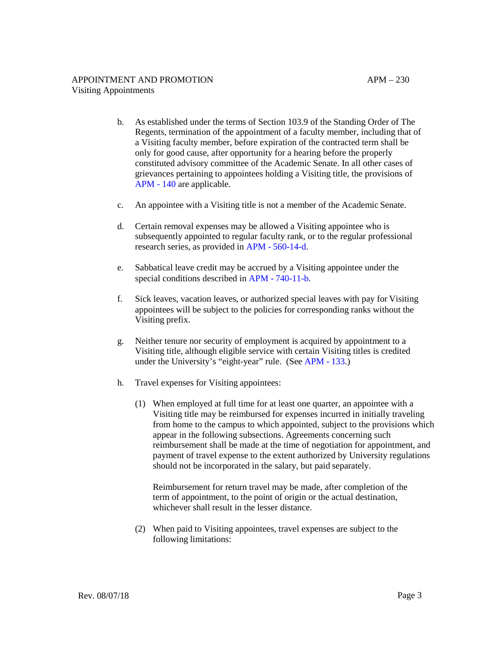- b. As established under the terms of Section 103.9 of the Standing Order of The Regents, termination of the appointment of a faculty member, including that of a Visiting faculty member, before expiration of the contracted term shall be only for good cause, after opportunity for a hearing before the properly constituted advisory committee of the Academic Senate. In all other cases of grievances pertaining to appointees holding a Visiting title, the provisions of [APM - 140](http://ucop.edu/academic-personnel-programs/_files/apm/apm-140.pdf) are applicable.
- c. An appointee with a Visiting title is not a member of the Academic Senate.
- d. Certain removal expenses may be allowed a Visiting appointee who is subsequently appointed to regular faculty rank, or to the regular professional research series, as provided in [APM - 560-14-d.](http://ucop.edu/academic-personnel-programs/_files/apm/apm-560.pdf)
- e. Sabbatical leave credit may be accrued by a Visiting appointee under the special conditions described in [APM - 740-11-b.](http://ucop.edu/academic-personnel-programs/_files/apm/apm-740.pdf)
- f. Sick leaves, vacation leaves, or authorized special leaves with pay for Visiting appointees will be subject to the policies for corresponding ranks without the Visiting prefix.
- g. Neither tenure nor security of employment is acquired by appointment to a Visiting title, although eligible service with certain Visiting titles is credited under the University's "eight-year" rule. (See [APM - 133.](http://ucop.edu/academic-personnel-programs/_files/apm/apm-133.pdf))
- h. Travel expenses for Visiting appointees:
	- (1) When employed at full time for at least one quarter, an appointee with a Visiting title may be reimbursed for expenses incurred in initially traveling from home to the campus to which appointed, subject to the provisions which appear in the following subsections. Agreements concerning such reimbursement shall be made at the time of negotiation for appointment, and payment of travel expense to the extent authorized by University regulations should not be incorporated in the salary, but paid separately.

Reimbursement for return travel may be made, after completion of the term of appointment, to the point of origin or the actual destination, whichever shall result in the lesser distance.

(2) When paid to Visiting appointees, travel expenses are subject to the following limitations: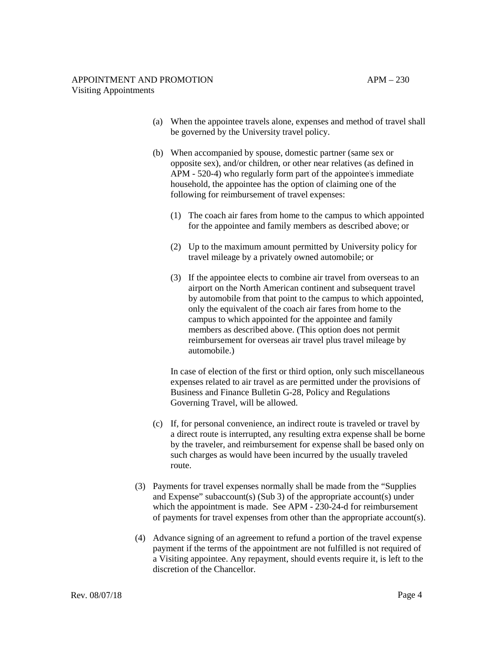- (a) When the appointee travels alone, expenses and method of travel shall be governed by the University travel policy.
- (b) When accompanied by spouse, domestic partner (same sex or opposite sex), and/or children, or other near relatives (as defined in APM - 520-4) who regularly form part of the appointee's immediate household, the appointee has the option of claiming one of the following for reimbursement of travel expenses:
	- (1) The coach air fares from home to the campus to which appointed for the appointee and family members as described above; or
	- (2) Up to the maximum amount permitted by University policy for travel mileage by a privately owned automobile; or
	- (3) If the appointee elects to combine air travel from overseas to an airport on the North American continent and subsequent travel by automobile from that point to the campus to which appointed, only the equivalent of the coach air fares from home to the campus to which appointed for the appointee and family members as described above. (This option does not permit reimbursement for overseas air travel plus travel mileage by automobile.)

In case of election of the first or third option, only such miscellaneous expenses related to air travel as are permitted under the provisions of Business and Finance Bulletin G-28, Policy and Regulations Governing Travel, will be allowed.

- (c) If, for personal convenience, an indirect route is traveled or travel by a direct route is interrupted, any resulting extra expense shall be borne by the traveler, and reimbursement for expense shall be based only on such charges as would have been incurred by the usually traveled route.
- (3) Payments for travel expenses normally shall be made from the "Supplies and Expense" subaccount(s) (Sub 3) of the appropriate account(s) under which the appointment is made. See APM - 230-24-d for reimbursement of payments for travel expenses from other than the appropriate account(s).
- (4) Advance signing of an agreement to refund a portion of the travel expense payment if the terms of the appointment are not fulfilled is not required of a Visiting appointee. Any repayment, should events require it, is left to the discretion of the Chancellor.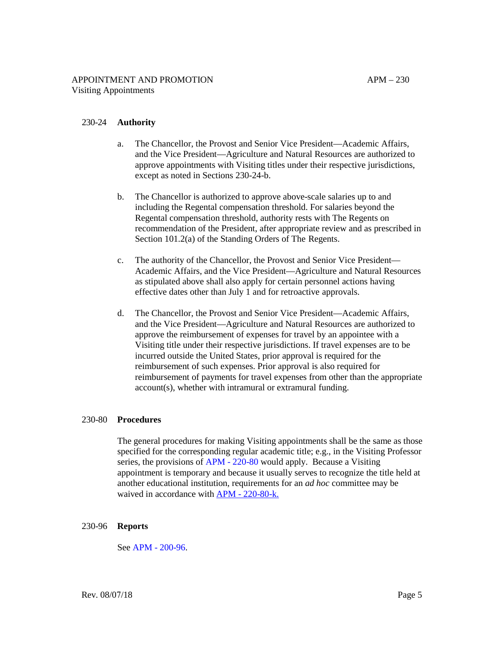### 230-24 **Authority**

- a. The Chancellor, the Provost and Senior Vice President—Academic Affairs, and the Vice President—Agriculture and Natural Resources are authorized to approve appointments with Visiting titles under their respective jurisdictions, except as noted in Sections 230-24-b.
- b. The Chancellor is authorized to approve above-scale salaries up to and including the Regental compensation threshold. For salaries beyond the Regental compensation threshold, authority rests with The Regents on recommendation of the President, after appropriate review and as prescribed in Section 101.2(a) of the Standing Orders of The Regents.
- c. The authority of the Chancellor, the Provost and Senior Vice President— Academic Affairs, and the Vice President—Agriculture and Natural Resources as stipulated above shall also apply for certain personnel actions having effective dates other than July 1 and for retroactive approvals.
- d. The Chancellor, the Provost and Senior Vice President—Academic Affairs, and the Vice President—Agriculture and Natural Resources are authorized to approve the reimbursement of expenses for travel by an appointee with a Visiting title under their respective jurisdictions. If travel expenses are to be incurred outside the United States, prior approval is required for the reimbursement of such expenses. Prior approval is also required for reimbursement of payments for travel expenses from other than the appropriate account(s), whether with intramural or extramural funding.

### 230-80 **Procedures**

The general procedures for making Visiting appointments shall be the same as those specified for the corresponding regular academic title; e.g., in the Visiting Professor series, the provisions of [APM - 220-80](https://www.ucop.edu/academic-personnel-programs/_files/apm/apm-220.pdf) would apply. Because a Visiting appointment is temporary and because it usually serves to recognize the title held at another educational institution, requirements for an *ad hoc* committee may be waived in accordance with [APM - 220-80-k.](https://www.ucop.edu/academic-personnel-programs/_files/apm/apm-220.pdf)

### 230-96 **Reports**

See [APM - 200-96.](http://ucop.edu/academic-personnel-programs/_files/apm/apm-200.pdf)